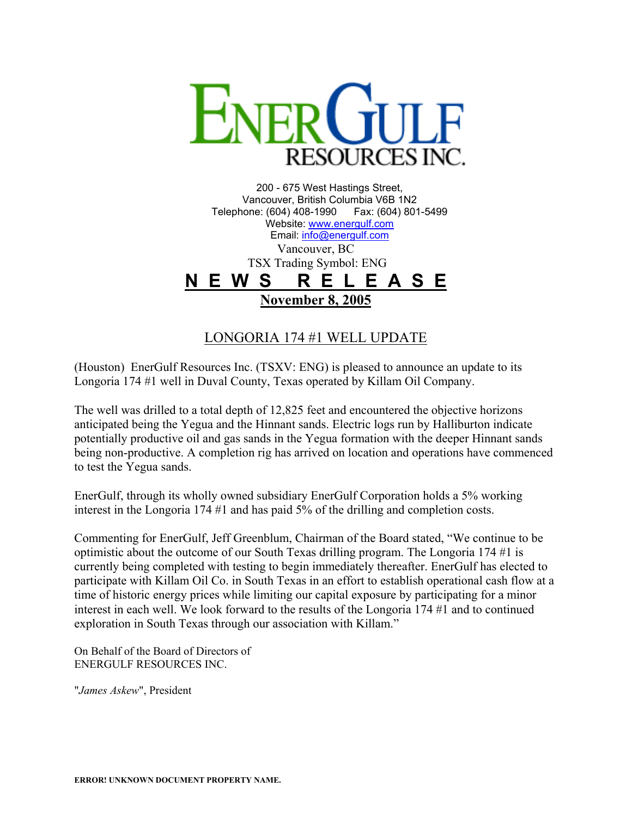

200 - 675 West Hastings Street, Vancouver, British Columbia V6B 1N2 Telephone: (604) 408-1990 Fax: (604) 801-5499 Website: [www.energulf.com](http://www.energulf.com/) Email: [info@energulf.com](mailto:info@energulf.com) Vancouver, BC TSX Trading Symbol: ENG **N E W S R E L E A S E November 8, 2005**

LONGORIA 174 #1 WELL UPDATE

(Houston) EnerGulf Resources Inc. (TSXV: ENG) is pleased to announce an update to its Longoria 174 #1 well in Duval County, Texas operated by Killam Oil Company.

The well was drilled to a total depth of 12,825 feet and encountered the objective horizons anticipated being the Yegua and the Hinnant sands. Electric logs run by Halliburton indicate potentially productive oil and gas sands in the Yegua formation with the deeper Hinnant sands being non-productive. A completion rig has arrived on location and operations have commenced to test the Yegua sands.

EnerGulf, through its wholly owned subsidiary EnerGulf Corporation holds a 5% working interest in the Longoria 174 #1 and has paid 5% of the drilling and completion costs.

Commenting for EnerGulf, Jeff Greenblum, Chairman of the Board stated, "We continue to be optimistic about the outcome of our South Texas drilling program. The Longoria 174 #1 is currently being completed with testing to begin immediately thereafter. EnerGulf has elected to participate with Killam Oil Co. in South Texas in an effort to establish operational cash flow at a time of historic energy prices while limiting our capital exposure by participating for a minor interest in each well. We look forward to the results of the Longoria 174 #1 and to continued exploration in South Texas through our association with Killam."

On Behalf of the Board of Directors of ENERGULF RESOURCES INC.

"*James Askew*", President